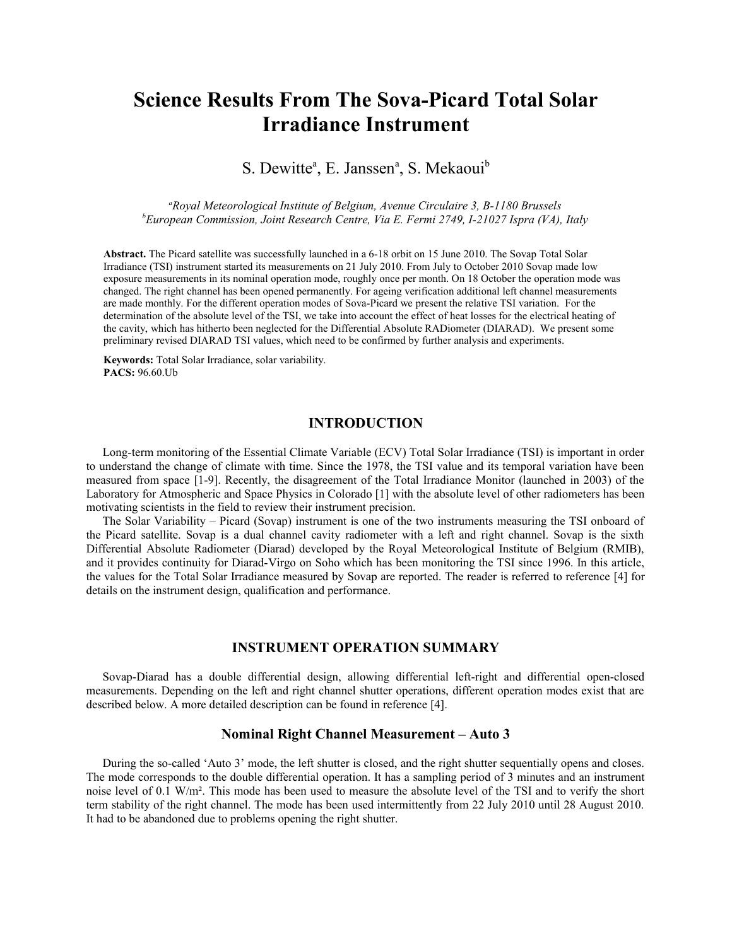# **Science Results From The Sova-Picard Total Solar Irradiance Instrument**

S. Dewitte<sup>a</sup>, E. Janssen<sup>a</sup>, S. Mekaoui<sup>b</sup>

*<sup>a</sup>Royal Meteorological Institute of Belgium, Avenue Circulaire 3, B-1180 Brussels <sup>b</sup>European Commission, Joint Research Centre, Via E. Fermi 2749, I-21027 Ispra (VA), Italy*

**Abstract.** The Picard satellite was successfully launched in a 6-18 orbit on 15 June 2010. The Sovap Total Solar Irradiance (TSI) instrument started its measurements on 21 July 2010. From July to October 2010 Sovap made low exposure measurements in its nominal operation mode, roughly once per month. On 18 October the operation mode was changed. The right channel has been opened permanently. For ageing verification additional left channel measurements are made monthly. For the different operation modes of Sova-Picard we present the relative TSI variation. For the determination of the absolute level of the TSI, we take into account the effect of heat losses for the electrical heating of the cavity, which has hitherto been neglected for the Differential Absolute RADiometer (DIARAD). We present some preliminary revised DIARAD TSI values, which need to be confirmed by further analysis and experiments.

**Keywords:** Total Solar Irradiance, solar variability. **PACS:** 96.60.Ub

## **INTRODUCTION**

Long-term monitoring of the Essential Climate Variable (ECV) Total Solar Irradiance (TSI) is important in order to understand the change of climate with time. Since the 1978, the TSI value and its temporal variation have been measured from space [1-9]. Recently, the disagreement of the Total Irradiance Monitor (launched in 2003) of the Laboratory for Atmospheric and Space Physics in Colorado [1] with the absolute level of other radiometers has been motivating scientists in the field to review their instrument precision.

The Solar Variability – Picard (Sovap) instrument is one of the two instruments measuring the TSI onboard of the Picard satellite. Sovap is a dual channel cavity radiometer with a left and right channel. Sovap is the sixth Differential Absolute Radiometer (Diarad) developed by the Royal Meteorological Institute of Belgium (RMIB), and it provides continuity for Diarad-Virgo on Soho which has been monitoring the TSI since 1996. In this article, the values for the Total Solar Irradiance measured by Sovap are reported. The reader is referred to reference [4] for details on the instrument design, qualification and performance.

## **INSTRUMENT OPERATION SUMMARY**

Sovap-Diarad has a double differential design, allowing differential left-right and differential open-closed measurements. Depending on the left and right channel shutter operations, different operation modes exist that are described below. A more detailed description can be found in reference [4].

#### **Nominal Right Channel Measurement – Auto 3**

During the so-called 'Auto 3' mode, the left shutter is closed, and the right shutter sequentially opens and closes. The mode corresponds to the double differential operation. It has a sampling period of 3 minutes and an instrument noise level of 0.1 W/m². This mode has been used to measure the absolute level of the TSI and to verify the short term stability of the right channel. The mode has been used intermittently from 22 July 2010 until 28 August 2010. It had to be abandoned due to problems opening the right shutter.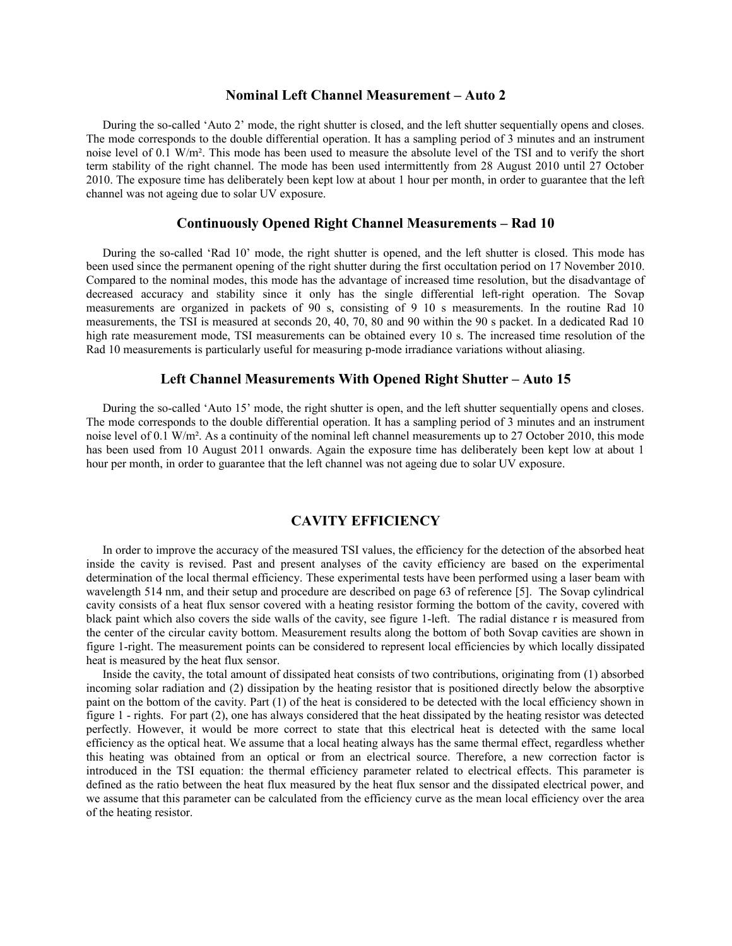#### **Nominal Left Channel Measurement – Auto 2**

During the so-called 'Auto 2' mode, the right shutter is closed, and the left shutter sequentially opens and closes. The mode corresponds to the double differential operation. It has a sampling period of 3 minutes and an instrument noise level of 0.1 W/m². This mode has been used to measure the absolute level of the TSI and to verify the short term stability of the right channel. The mode has been used intermittently from 28 August 2010 until 27 October 2010. The exposure time has deliberately been kept low at about 1 hour per month, in order to guarantee that the left channel was not ageing due to solar UV exposure.

## **Continuously Opened Right Channel Measurements – Rad 10**

During the so-called 'Rad 10' mode, the right shutter is opened, and the left shutter is closed. This mode has been used since the permanent opening of the right shutter during the first occultation period on 17 November 2010. Compared to the nominal modes, this mode has the advantage of increased time resolution, but the disadvantage of decreased accuracy and stability since it only has the single differential left-right operation. The Sovap measurements are organized in packets of 90 s, consisting of 9 10 s measurements. In the routine Rad 10 measurements, the TSI is measured at seconds 20, 40, 70, 80 and 90 within the 90 s packet. In a dedicated Rad 10 high rate measurement mode, TSI measurements can be obtained every 10 s. The increased time resolution of the Rad 10 measurements is particularly useful for measuring p-mode irradiance variations without aliasing.

#### **Left Channel Measurements With Opened Right Shutter – Auto 15**

During the so-called 'Auto 15' mode, the right shutter is open, and the left shutter sequentially opens and closes. The mode corresponds to the double differential operation. It has a sampling period of 3 minutes and an instrument noise level of 0.1 W/m². As a continuity of the nominal left channel measurements up to 27 October 2010, this mode has been used from 10 August 2011 onwards. Again the exposure time has deliberately been kept low at about 1 hour per month, in order to guarantee that the left channel was not ageing due to solar UV exposure.

## **CAVITY EFFICIENCY**

In order to improve the accuracy of the measured TSI values, the efficiency for the detection of the absorbed heat inside the cavity is revised. Past and present analyses of the cavity efficiency are based on the experimental determination of the local thermal efficiency. These experimental tests have been performed using a laser beam with wavelength 514 nm, and their setup and procedure are described on page 63 of reference [5]. The Sovap cylindrical cavity consists of a heat flux sensor covered with a heating resistor forming the bottom of the cavity, covered with black paint which also covers the side walls of the cavity, see figure 1-left. The radial distance r is measured from the center of the circular cavity bottom. Measurement results along the bottom of both Sovap cavities are shown in figure 1-right. The measurement points can be considered to represent local efficiencies by which locally dissipated heat is measured by the heat flux sensor.

Inside the cavity, the total amount of dissipated heat consists of two contributions, originating from (1) absorbed incoming solar radiation and (2) dissipation by the heating resistor that is positioned directly below the absorptive paint on the bottom of the cavity. Part (1) of the heat is considered to be detected with the local efficiency shown in figure 1 - rights. For part (2), one has always considered that the heat dissipated by the heating resistor was detected perfectly. However, it would be more correct to state that this electrical heat is detected with the same local efficiency as the optical heat. We assume that a local heating always has the same thermal effect, regardless whether this heating was obtained from an optical or from an electrical source. Therefore, a new correction factor is introduced in the TSI equation: the thermal efficiency parameter related to electrical effects. This parameter is defined as the ratio between the heat flux measured by the heat flux sensor and the dissipated electrical power, and we assume that this parameter can be calculated from the efficiency curve as the mean local efficiency over the area of the heating resistor.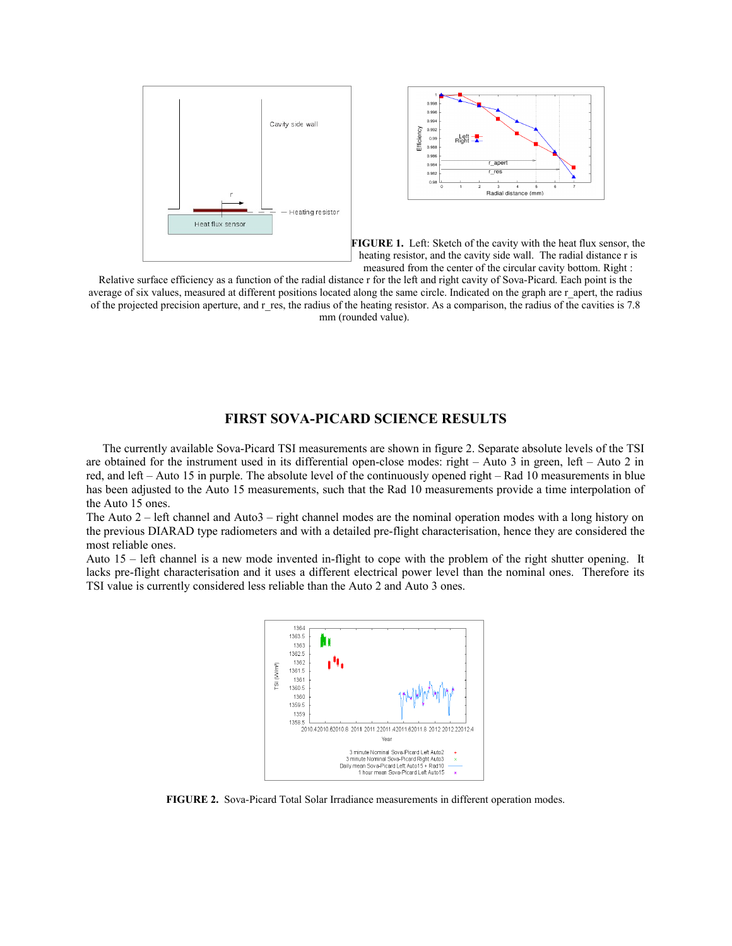



**FIGURE 1.** Left: Sketch of the cavity with the heat flux sensor, the heating resistor, and the cavity side wall. The radial distance r is measured from the center of the circular cavity bottom. Right :

Relative surface efficiency as a function of the radial distance r for the left and right cavity of Sova-Picard. Each point is the average of six values, measured at different positions located along the same circle. Indicated on the graph are r\_apert, the radius of the projected precision aperture, and r\_res, the radius of the heating resistor. As a comparison, the radius of the cavities is 7.8 mm (rounded value).

### **FIRST SOVA-PICARD SCIENCE RESULTS**

The currently available Sova-Picard TSI measurements are shown in figure 2. Separate absolute levels of the TSI are obtained for the instrument used in its differential open-close modes: right – Auto 3 in green, left – Auto 2 in red, and left – Auto 15 in purple. The absolute level of the continuously opened right – Rad 10 measurements in blue has been adjusted to the Auto 15 measurements, such that the Rad 10 measurements provide a time interpolation of the Auto 15 ones.

The Auto 2 – left channel and Auto3 – right channel modes are the nominal operation modes with a long history on the previous DIARAD type radiometers and with a detailed pre-flight characterisation, hence they are considered the most reliable ones.

Auto 15 – left channel is a new mode invented in-flight to cope with the problem of the right shutter opening. It lacks pre-flight characterisation and it uses a different electrical power level than the nominal ones. Therefore its TSI value is currently considered less reliable than the Auto 2 and Auto 3 ones.



**FIGURE 2.** Sova-Picard Total Solar Irradiance measurements in different operation modes.